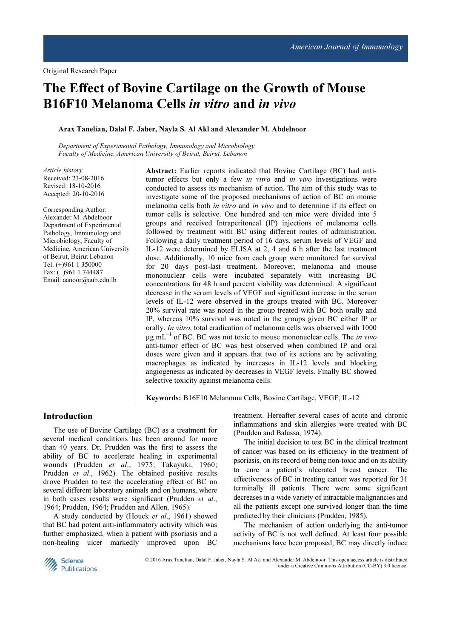# The Effect of Bovine Cartilage on the Growth of Mouse B16F10 Melanoma Cells in vitro and in vivo

## Arax Tanelian, Dalal F. Jaber, Nayla S. Al Akl and Alexander M. Abdelnoor

Department of Experimental Pathology, Immunology and Microbiology, Faculty of Medicine, American University of Beirut, Beirut, Lebanon

Article history Received: 23-08-2016 Revised: 18-10-2016 Accepted: 20-10-2016

Corresponding Author: Alexander M. Abdelnoor Department of Experimental Pathology, Immunology and Microbiology, Faculty of Medicine, American University of Beirut, Beirut Lebanon Tel: (+)961 1 350000 Fax: (+)961 1 744487 Email: aanoor@aub.edu.lb

Abstract: Earlier reports indicated that Bovine Cartilage (BC) had antitumor effects but only a few *in vitro* and *in vivo* investigations were conducted to assess its mechanism of action. The aim of this study was to investigate some of the proposed mechanisms of action of BC on mouse melanoma cells both *in vitro* and *in vivo* and to determine if its effect on tumor cells is selective. One hundred and ten mice were divided into 5 groups and received Intraperitoneal (IP) injections of melanoma cells followed by treatment with BC using different routes of administration. Following a daily treatment period of 16 days, serum levels of VEGF and IL-12 were determined by ELISA at 2, 4 and 6 h after the last treatment dose. Additionally, 10 mice from each group were monitored for survival for 20 days post-last treatment. Moreover, melanoma and mouse mononuclear cells were incubated separately with increasing BC concentrations for 48 h and percent viability was determined. A significant decrease in the serum levels of VEGF and significant increase in the serum levels of IL-12 were observed in the groups treated with BC. Moreover 20% survival rate was noted in the group treated with BC both orally and IP, whereas 10% survival was noted in the groups given BC either IP or orally. In vitro, total eradication of melanoma cells was observed with 1000  $\mu$ g mL<sup>-1</sup> of BC. BC was not toxic to mouse mononuclear cells. The *in vivo* anti-tumor effect of BC was best observed when combined IP and oral doses were given and it appears that two of its actions are by activating macrophages as indicated by increases in IL-12 levels and blocking angiogenesis as indicated by decreases in VEGF levels. Finally BC showed selective toxicity against melanoma cells.

Keywords: B16F10 Melanoma Cells, Bovine Cartilage, VEGF, IL-12

## Introduction

The use of Bovine Cartilage (BC) as a treatment for several medical conditions has been around for more than 40 years. Dr. Prudden was the first to assess the ability of BC to accelerate healing in experimental wounds (Prudden et al., 1975; Takayuki, 1960; Prudden et al., 1962). The obtained positive results drove Prudden to test the accelerating effect of BC on several different laboratory animals and on humans, where in both cases results were significant (Prudden et al., 1964; Prudden, 1964; Prudden and Allen, 1965).

A study conducted by (Houck et al., 1961) showed that BC had potent anti-inflammatory activity which was further emphasized, when a patient with psoriasis and a non-healing ulcer markedly improved upon BC treatment. Hereafter several cases of acute and chronic inflammations and skin allergies were treated with BC (Prudden and Balassa, 1974).

The initial decision to test BC in the clinical treatment of cancer was based on its efficiency in the treatment of psoriasis, on its record of being non-toxic and on its ability to cure a patient's ulcerated breast cancer. The effectiveness of BC in treating cancer was reported for 31 terminally ill patients. There were some significant decreases in a wide variety of intractable malignancies and all the patients except one survived longer than the time predicted by their clinicians (Prudden, 1985).

The mechanism of action underlying the anti-tumor activity of BC is not well defined. At least four possible mechanisms have been proposed; BC may directly induce



© 2016 Arax Tanelian, Dalal F. Jaber, Nayla S. Al Akl and Alexander M. Abdelnoor. This open access article is distributed under a Creative Commons Attribution (CC-BY) 3.0 license.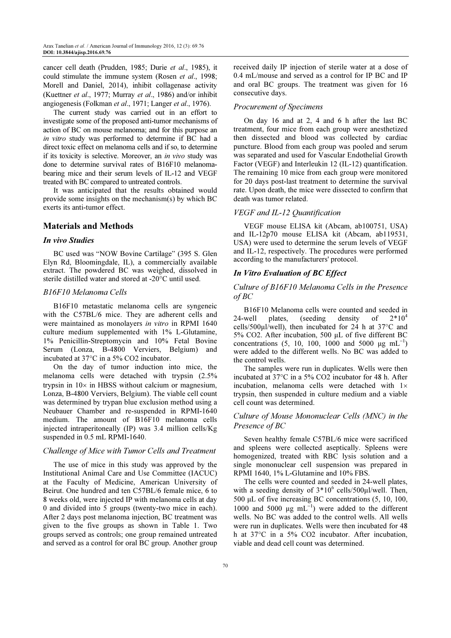cancer cell death (Prudden, 1985; Durie et al., 1985), it could stimulate the immune system (Rosen et al., 1998; Morell and Daniel, 2014), inhibit collagenase activity (Kuettner et al., 1977; Murray et al., 1986) and/or inhibit angiogenesis (Folkman et al., 1971; Langer et al., 1976).

The current study was carried out in an effort to investigate some of the proposed anti-tumor mechanisms of action of BC on mouse melanoma; and for this purpose an in vitro study was performed to determine if BC had a direct toxic effect on melanoma cells and if so, to determine if its toxicity is selective. Moreover, an in vivo study was done to determine survival rates of B16F10 melanomabearing mice and their serum levels of IL-12 and VEGF treated with BC compared to untreated controls.

It was anticipated that the results obtained would provide some insights on the mechanism(s) by which BC exerts its anti-tumor effect.

# Materials and Methods

#### In vivo Studies

BC used was "NOW Bovine Cartilage" (395 S. Glen Elyn Rd, Bloomingdale, IL), a commercially available extract. The powdered BC was weighed, dissolved in sterile distilled water and stored at -20°C until used.

#### B16F10 Melanoma Cells

B16F10 metastatic melanoma cells are syngeneic with the C57BL/6 mice. They are adherent cells and were maintained as monolayers in vitro in RPMI 1640 culture medium supplemented with 1% L-Glutamine, 1% Penicillin-Streptomycin and 10% Fetal Bovine Serum (Lonza, B-4800 Verviers, Belgium) and incubated at 37°C in a 5% CO2 incubator.

On the day of tumor induction into mice, the melanoma cells were detached with trypsin (2.5% trypsin in  $10\times$  in HBSS without calcium or magnesium, Lonza, B-4800 Verviers, Belgium). The viable cell count was determined by trypan blue exclusion method using a Neubauer Chamber and re-suspended in RPMI-1640 medium. The amount of B16F10 melanoma cells injected intraperitoneally (IP) was 3.4 million cells/Kg suspended in 0.5 mL RPMI-1640.

#### Challenge of Mice with Tumor Cells and Treatment

The use of mice in this study was approved by the Institutional Animal Care and Use Committee (IACUC) at the Faculty of Medicine, American University of Beirut. One hundred and ten C57BL/6 female mice, 6 to 8 weeks old, were injected IP with melanoma cells at day 0 and divided into 5 groups (twenty-two mice in each). After 2 days post melanoma injection, BC treatment was given to the five groups as shown in Table 1. Two groups served as controls; one group remained untreated and served as a control for oral BC group. Another group

received daily IP injection of sterile water at a dose of 0.4 mL/mouse and served as a control for IP BC and IP and oral BC groups. The treatment was given for 16 consecutive days.

# Procurement of Specimens

On day 16 and at 2, 4 and 6 h after the last BC treatment, four mice from each group were anesthetized then dissected and blood was collected by cardiac puncture. Blood from each group was pooled and serum was separated and used for Vascular Endothelial Growth Factor (VEGF) and Interleukin 12 (IL-12) quantification. The remaining 10 mice from each group were monitored for 20 days post-last treatment to determine the survival rate. Upon death, the mice were dissected to confirm that death was tumor related.

#### VEGF and IL-12 Quantification

VEGF mouse ELISA kit (Abcam, ab100751, USA) and IL-12p70 mouse ELISA kit (Abcam, ab119531, USA) were used to determine the serum levels of VEGF and IL-12, respectively. The procedures were performed according to the manufacturers' protocol.

#### In Vitro Evaluation of BC Effect

# Culture of B16F10 Melanoma Cells in the Presence of BC

B16F10 Melanoma cells were counted and seeded in 24-well plates, (seeding density of  $2*10^4$ cells/500µl/well), then incubated for 24 h at 37°C and 5% CO2. After incubation, 500 µL of five different BC concentrations  $(5, 10, 100, 1000)$  and  $5000 \mu g \mu^{-1}$ were added to the different wells. No BC was added to the control wells.

The samples were run in duplicates. Wells were then incubated at 37°C in a 5% CO2 incubator for 48 h. After incubation, melanoma cells were detached with 1× trypsin, then suspended in culture medium and a viable cell count was determined.

# Culture of Mouse Mononuclear Cells (MNC) in the Presence of BC

Seven healthy female C57BL/6 mice were sacrificed and spleens were collected aseptically. Spleens were homogenized, treated with RBC lysis solution and a single mononuclear cell suspension was prepared in RPMI 1640, 1% L-Glutamine and 10% FBS.

The cells were counted and seeded in 24-well plates, with a seeding density of  $3*10^6$  cells/500 $\mu$ l/well. Then, 500 µL of five increasing BC concentrations (5, 10, 100, 1000 and 5000 μg mL<sup>-1</sup>) were added to the different wells. No BC was added to the control wells. All wells were run in duplicates. Wells were then incubated for 48 h at 37°C in a 5% CO2 incubator. After incubation, viable and dead cell count was determined.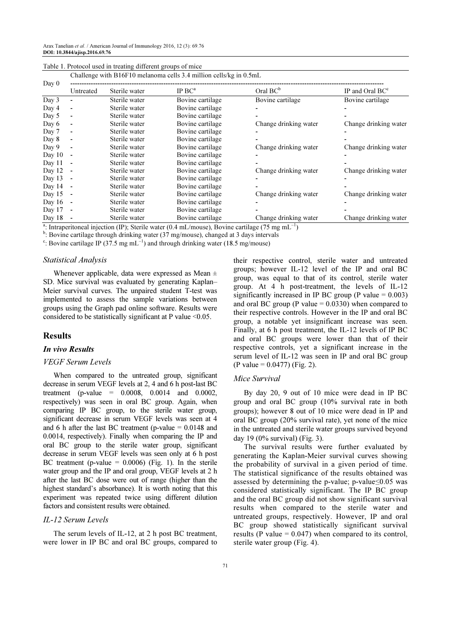| Day 0    | Challenge with B16F10 melanoma cells 3.4 million cells/kg in 0.5mL |               |                    |                       |                       |  |  |
|----------|--------------------------------------------------------------------|---------------|--------------------|-----------------------|-----------------------|--|--|
|          | Untreated                                                          | Sterile water | IP BC <sup>a</sup> | Oral $BC^b$           | IP and Oral $BCc$     |  |  |
| Day 3    |                                                                    | Sterile water | Bovine cartilage   | Bovine cartilage      | Bovine cartilage      |  |  |
| Day 4    |                                                                    | Sterile water | Bovine cartilage   |                       |                       |  |  |
| Day 5    | ٠                                                                  | Sterile water | Bovine cartilage   |                       |                       |  |  |
| Day 6    | ٠                                                                  | Sterile water | Bovine cartilage   | Change drinking water | Change drinking water |  |  |
| Day 7    | ٠                                                                  | Sterile water | Bovine cartilage   |                       |                       |  |  |
| Day 8    |                                                                    | Sterile water | Bovine cartilage   |                       |                       |  |  |
| Day 9    |                                                                    | Sterile water | Bovine cartilage   | Change drinking water | Change drinking water |  |  |
| Day $10$ |                                                                    | Sterile water | Bovine cartilage   |                       |                       |  |  |
| Day 11   |                                                                    | Sterile water | Bovine cartilage   |                       |                       |  |  |
| Day 12   |                                                                    | Sterile water | Bovine cartilage   | Change drinking water | Change drinking water |  |  |
| Day $13$ |                                                                    | Sterile water | Bovine cartilage   |                       |                       |  |  |
| Day 14   |                                                                    | Sterile water | Bovine cartilage   |                       |                       |  |  |
| Day 15   | $\blacksquare$                                                     | Sterile water | Bovine cartilage   | Change drinking water | Change drinking water |  |  |
| Day $16$ | ٠                                                                  | Sterile water | Bovine cartilage   |                       |                       |  |  |
| Day 17   | $\overline{\phantom{a}}$                                           | Sterile water | Bovine cartilage   |                       |                       |  |  |
| Day 18   |                                                                    | Sterile water | Bovine cartilage   | Change drinking water | Change drinking water |  |  |

Table 1. Protocol used in treating different groups of mice

<sup>a</sup>: Intraperitoneal injection (IP); Sterile water (0.4 mL/mouse), Bovine cartilage (75 mg mL<sup>-1</sup>)

<sup>b</sup>: Bovine cartilage through drinking water (37 mg/mouse), changed at 3 days intervals

<sup>c</sup>: Bovine cartilage IP (37.5 mg mL<sup>-1</sup>) and through drinking water (18.5 mg/mouse)

#### Statistical Analysis

Whenever applicable, data were expressed as Mean  $\pm$ SD. Mice survival was evaluated by generating Kaplan– Meier survival curves. The unpaired student T-test was implemented to assess the sample variations between groups using the Graph pad online software. Results were considered to be statistically significant at P value <0.05.

## Results

# In vivo Results

# VEGF Serum Levels

When compared to the untreated group, significant decrease in serum VEGF levels at 2, 4 and 6 h post-last BC treatment (p-value = 0.0008, 0.0014 and 0.0002, respectively) was seen in oral BC group. Again, when comparing IP BC group, to the sterile water group, significant decrease in serum VEGF levels was seen at 4 and 6 h after the last BC treatment (p-value  $= 0.0148$  and 0.0014, respectively). Finally when comparing the IP and oral BC group to the sterile water group, significant decrease in serum VEGF levels was seen only at 6 h post BC treatment (p-value  $= 0.0006$ ) (Fig. 1). In the sterile water group and the IP and oral group, VEGF levels at 2 h after the last BC dose were out of range (higher than the highest standard's absorbance). It is worth noting that this experiment was repeated twice using different dilution factors and consistent results were obtained.

## IL-12 Serum Levels

The serum levels of IL-12, at 2 h post BC treatment, were lower in IP BC and oral BC groups, compared to their respective control, sterile water and untreated groups; however IL-12 level of the IP and oral BC group, was equal to that of its control, sterile water group. At 4 h post-treatment, the levels of IL-12 significantly increased in IP BC group (P value  $= 0.003$ ) and oral BC group (P value  $= 0.0330$ ) when compared to their respective controls. However in the IP and oral BC group, a notable yet insignificant increase was seen. Finally, at 6 h post treatment, the IL-12 levels of IP BC and oral BC groups were lower than that of their respective controls, yet a significant increase in the serum level of IL-12 was seen in IP and oral BC group  $(P$  value = 0.0477) (Fig. 2).

# Mice Survival

By day 20, 9 out of 10 mice were dead in IP BC group and oral BC group (10% survival rate in both groups); however 8 out of 10 mice were dead in IP and oral BC group (20% survival rate), yet none of the mice in the untreated and sterile water groups survived beyond day 19 (0% survival) (Fig. 3).

The survival results were further evaluated by generating the Kaplan-Meier survival curves showing the probability of survival in a given period of time. The statistical significance of the results obtained was assessed by determining the p-value; p-value $\leq 0.05$  was considered statistically significant. The IP BC group and the oral BC group did not show significant survival results when compared to the sterile water and untreated groups, respectively. However, IP and oral BC group showed statistically significant survival results (P value  $= 0.047$ ) when compared to its control, sterile water group (Fig. 4).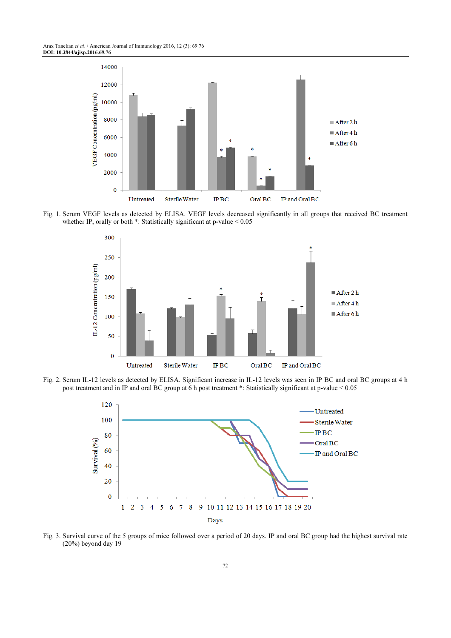Arax Tanelian et al. / American Journal of Immunology 2016, 12 (3): 69.76 DOI: 10.3844/ajisp.2016.69.76



Fig. 1. Serum VEGF levels as detected by ELISA. VEGF levels decreased significantly in all groups that received BC treatment whether IP, orally or both \*: Statistically significant at p-value <  $0.05$ 



Fig. 2. Serum IL-12 levels as detected by ELISA. Significant increase in IL-12 levels was seen in IP BC and oral BC groups at 4 h post treatment and in IP and oral BC group at 6 h post treatment \*: Statistically significant at p-value < 0.05



Fig. 3. Survival curve of the 5 groups of mice followed over a period of 20 days. IP and oral BC group had the highest survival rate (20%) beyond day 19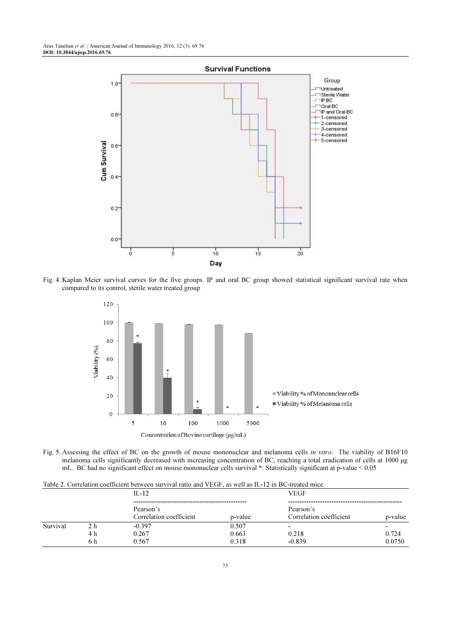

Fig. 4. Kaplan Meier survival curves for the five groups. IP and oral BC group showed statistical significant survival rate when compared to its control, sterile water treated group



Fig. 5. Assessing the effect of BC on the growth of mouse mononuclear and melanoma cells in vitro. The viability of B16F10 melanoma cells significantly decreased with increasing concentration of BC, reaching a total eradication of cells at 1000 µg mL. BC had no significant effect on mouse mononuclear cells survival \*: Statistically significant at p-value < 0.05

Table 2. Correlation coefficient between survival ratio and VEGF, as well as IL-12 in BC-treated mice

|          |     | $IL-12$                              |         | VEGF                                 |         |  |
|----------|-----|--------------------------------------|---------|--------------------------------------|---------|--|
|          |     |                                      |         |                                      |         |  |
|          |     | Pearson's<br>Correlation coefficient | p-value | Pearson's<br>Correlation coefficient | p-value |  |
| Survival | 2 h | $-0.397$                             | 0.507   | $\overline{\phantom{0}}$             |         |  |
|          | 4 h | 0.267                                | 0.663   | 0.218                                | 0.724   |  |
|          | 6 h | 0.567                                | 0.318   | $-0.839$                             | 0.0750  |  |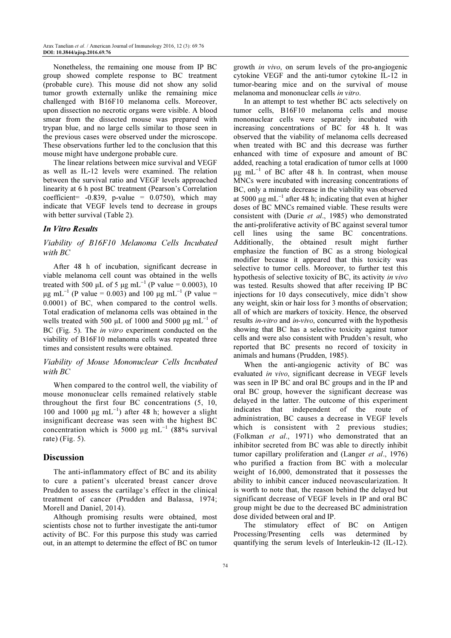Nonetheless, the remaining one mouse from IP BC group showed complete response to BC treatment (probable cure). This mouse did not show any solid tumor growth externally unlike the remaining mice challenged with B16F10 melanoma cells. Moreover, upon dissection no necrotic organs were visible. A blood smear from the dissected mouse was prepared with trypan blue, and no large cells similar to those seen in the previous cases were observed under the microscope. These observations further led to the conclusion that this mouse might have undergone probable cure.

The linear relations between mice survival and VEGF as well as IL-12 levels were examined. The relation between the survival ratio and VEGF levels approached linearity at 6 h post BC treatment (Pearson's Correlation coefficient=  $-0.839$ , p-value = 0.0750), which may indicate that VEGF levels tend to decrease in groups with better survival (Table 2).

## In Vitro Results

# Viability of B16F10 Melanoma Cells Incubated with BC

After 48 h of incubation, significant decrease in viable melanoma cell count was obtained in the wells treated with 500 µL of 5 µg mL<sup>-1</sup> (P value = 0.0003), 10 µg mL<sup>-1</sup> (P value = 0.003) and 100 µg mL<sup>-1</sup> (P value = 0.0001) of BC, when compared to the control wells. Total eradication of melanoma cells was obtained in the wells treated with 500 µL of 1000 and 5000 µg mL<sup>-1</sup> of BC (Fig. 5). The *in vitro* experiment conducted on the viability of B16F10 melanoma cells was repeated three times and consistent results were obtained.

# Viability of Mouse Mononuclear Cells Incubated with BC

When compared to the control well, the viability of mouse mononuclear cells remained relatively stable throughout the first four BC concentrations (5, 10, 100 and 1000 μg mL<sup>-1</sup>) after 48 h; however a slight insignificant decrease was seen with the highest BC concentration which is 5000 µg mL<sup>-1</sup> (88% survival rate) (Fig. 5).

# Discussion

The anti-inflammatory effect of BC and its ability to cure a patient's ulcerated breast cancer drove Prudden to assess the cartilage's effect in the clinical treatment of cancer (Prudden and Balassa, 1974; Morell and Daniel, 2014).

Although promising results were obtained, most scientists chose not to further investigate the anti-tumor activity of BC. For this purpose this study was carried out, in an attempt to determine the effect of BC on tumor

growth in vivo, on serum levels of the pro-angiogenic cytokine VEGF and the anti-tumor cytokine IL-12 in tumor-bearing mice and on the survival of mouse melanoma and mononuclear cells in vitro.

In an attempt to test whether BC acts selectively on tumor cells, B16F10 melanoma cells and mouse mononuclear cells were separately incubated with increasing concentrations of BC for 48 h. It was observed that the viability of melanoma cells decreased when treated with BC and this decrease was further enhanced with time of exposure and amount of BC added, reaching a total eradication of tumor cells at 1000  $\mu$ g mL<sup>-1</sup> of BC after 48 h. In contrast, when mouse MNCs were incubated with increasing concentrations of BC, only a minute decrease in the viability was observed at 5000 µg mL<sup>-1</sup> after 48 h; indicating that even at higher doses of BC MNCs remained viable. These results were consistent with (Durie et al., 1985) who demonstrated the anti-proliferative activity of BC against several tumor cell lines using the same BC concentrations. Additionally, the obtained result might further emphasize the function of BC as a strong biological modifier because it appeared that this toxicity was selective to tumor cells. Moreover, to further test this hypothesis of selective toxicity of BC, its activity in vivo was tested. Results showed that after receiving IP BC injections for 10 days consecutively, mice didn't show any weight, skin or hair loss for 3 months of observation; all of which are markers of toxicity. Hence, the observed results in-vitro and in-vivo, concurred with the hypothesis showing that BC has a selective toxicity against tumor cells and were also consistent with Prudden's result, who reported that BC presents no record of toxicity in animals and humans (Prudden, 1985).

When the anti-angiogenic activity of BC was evaluated in vivo, significant decrease in VEGF levels was seen in IP BC and oral BC groups and in the IP and oral BC group, however the significant decrease was delayed in the latter. The outcome of this experiment indicates that independent of the route of administration, BC causes a decrease in VEGF levels which is consistent with 2 previous studies; (Folkman et al., 1971) who demonstrated that an inhibitor secreted from BC was able to directly inhibit tumor capillary proliferation and (Langer et al., 1976) who purified a fraction from BC with a molecular weight of 16,000, demonstrated that it possesses the ability to inhibit cancer induced neovascularization. It is worth to note that, the reason behind the delayed but significant decrease of VEGF levels in IP and oral BC group might be due to the decreased BC administration dose divided between oral and IP.

The stimulatory effect of BC on Antigen Processing/Presenting cells was determined by quantifying the serum levels of Interleukin-12 (IL-12).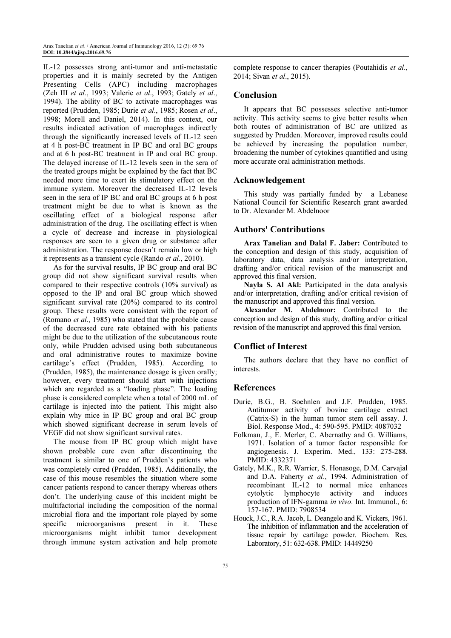IL-12 possesses strong anti-tumor and anti-metastatic properties and it is mainly secreted by the Antigen Presenting Cells (APC) including macrophages (Zeh III et al., 1993; Valerie et al., 1993; Gately et al., 1994). The ability of BC to activate macrophages was reported (Prudden, 1985; Durie et al., 1985; Rosen et al., 1998; Morell and Daniel, 2014). In this context, our results indicated activation of macrophages indirectly through the significantly increased levels of IL-12 seen at 4 h post-BC treatment in IP BC and oral BC groups and at 6 h post-BC treatment in IP and oral BC group. The delayed increase of IL-12 levels seen in the sera of the treated groups might be explained by the fact that BC needed more time to exert its stimulatory effect on the immune system. Moreover the decreased IL-12 levels seen in the sera of IP BC and oral BC groups at 6 h post treatment might be due to what is known as the oscillating effect of a biological response after administration of the drug. The oscillating effect is when a cycle of decrease and increase in physiological responses are seen to a given drug or substance after administration. The response doesn't remain low or high it represents as a transient cycle (Rando et al., 2010).

As for the survival results, IP BC group and oral BC group did not show significant survival results when compared to their respective controls (10% survival) as opposed to the IP and oral BC group which showed significant survival rate (20%) compared to its control group. These results were consistent with the report of (Romano et al., 1985) who stated that the probable cause of the decreased cure rate obtained with his patients might be due to the utilization of the subcutaneous route only, while Prudden advised using both subcutaneous and oral administrative routes to maximize bovine cartilage's effect (Prudden, 1985). According to (Prudden, 1985), the maintenance dosage is given orally; however, every treatment should start with injections which are regarded as a "loading phase". The loading phase is considered complete when a total of 2000 mL of cartilage is injected into the patient. This might also explain why mice in IP BC group and oral BC group which showed significant decrease in serum levels of VEGF did not show significant survival rates.

The mouse from IP BC group which might have shown probable cure even after discontinuing the treatment is similar to one of Prudden's patients who was completely cured (Prudden, 1985). Additionally, the case of this mouse resembles the situation where some cancer patients respond to cancer therapy whereas others don't. The underlying cause of this incident might be multifactorial including the composition of the normal microbial flora and the important role played by some specific microorganisms present in it. These microorganisms might inhibit tumor development through immune system activation and help promote

complete response to cancer therapies (Poutahidis et al., 2014; Sivan et al., 2015).

# Conclusion

It appears that BC possesses selective anti-tumor activity. This activity seems to give better results when both routes of administration of BC are utilized as suggested by Prudden. Moreover, improved results could be achieved by increasing the population number, broadening the number of cytokines quantified and using more accurate oral administration methods.

# Acknowledgement

This study was partially funded by a Lebanese National Council for Scientific Research grant awarded to Dr. Alexander M. Abdelnoor

# Authors' Contributions

Arax Tanelian and Dalal F. Jaber: Contributed to the conception and design of this study, acquisition of laboratory data, data analysis and/or interpretation, drafting and/or critical revision of the manuscript and approved this final version.

Nayla S. Al Akl: Participated in the data analysis and/or interpretation, drafting and/or critical revision of the manuscript and approved this final version.

Alexander M. Abdelnoor: Contributed to the conception and design of this study, drafting and/or critical revision of the manuscript and approved this final version.

# Conflict of Interest

The authors declare that they have no conflict of **interests** 

# References

- Durie, B.G., B. Soehnlen and J.F. Prudden, 1985. Antitumor activity of bovine cartilage extract (Catrix-S) in the human tumor stem cell assay. J. Biol. Response Mod., 4: 590-595. PMID: 4087032
- Folkman, J., E. Merler, C. Abernathy and G. Williams, 1971. Isolation of a tumor factor responsible for angiogenesis. J. Experim. Med., 133: 275-288. PMID: 4332371
- Gately, M.K., R.R. Warrier, S. Honasoge, D.M. Carvajal and D.A. Faherty et al., 1994. Administration of recombinant IL-12 to normal mice enhances cytolytic lymphocyte activity and induces production of IFN-gamma in vivo. Int. Immunol., 6: 157-167. PMID: 7908534
- Houck, J.C., R.A. Jacob, L. Deangelo and K. Vickers, 1961. The inhibition of inflammation and the acceleration of tissue repair by cartilage powder. Biochem. Res. Laboratory, 51: 632-638. PMID: 14449250